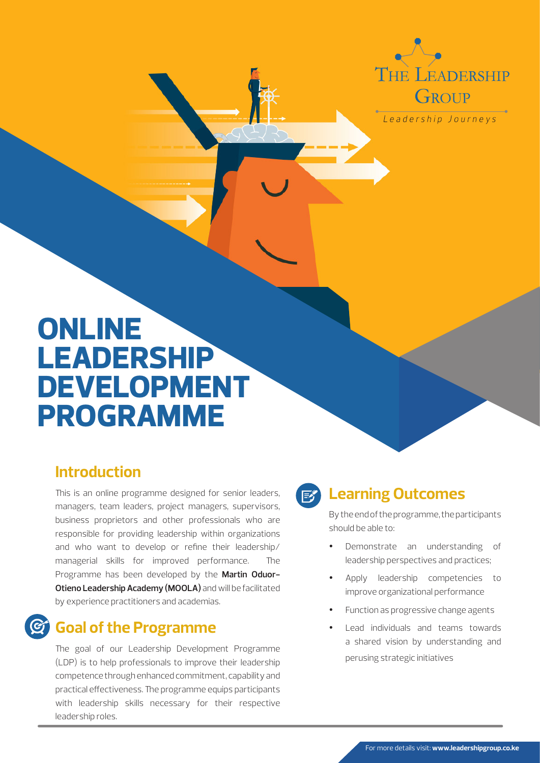THE LEADERSHIP GROUP

Leadership Journeys

# **ONLINE LEADERSHIP DEVELOPMENT PROGRAMME**

#### **Introduction**

This is an online programme designed for senior leaders, managers, team leaders, project managers, supervisors, business proprietors and other professionals who are responsible for providing leadership within organizations and who want to develop or refine their leadership/ managerial skills for improved performance. The Programme has been developed by the **Martin Oduor-Otieno Leadership Academy (MOOLA)** and will be facilitated by experience practitioners and academias.

#### **Goal of the Programme**

The goal of our Leadership Development Programme (LDP) is to help professionals to improve their leadership competence through enhanced commitment, capability and practical effectiveness. The programme equips participants with leadership skills necessary for their respective leadership roles.

#### $E$

#### **Learning Outcomes**

By the end of the programme, the participants should be able to:

- Demonstrate an understanding of leadership perspectives and practices;
- Apply leadership competencies to improve organizational performance
- Function as progressive change agents
- Lead individuals and teams towards a shared vision by understanding and perusing strategic initiatives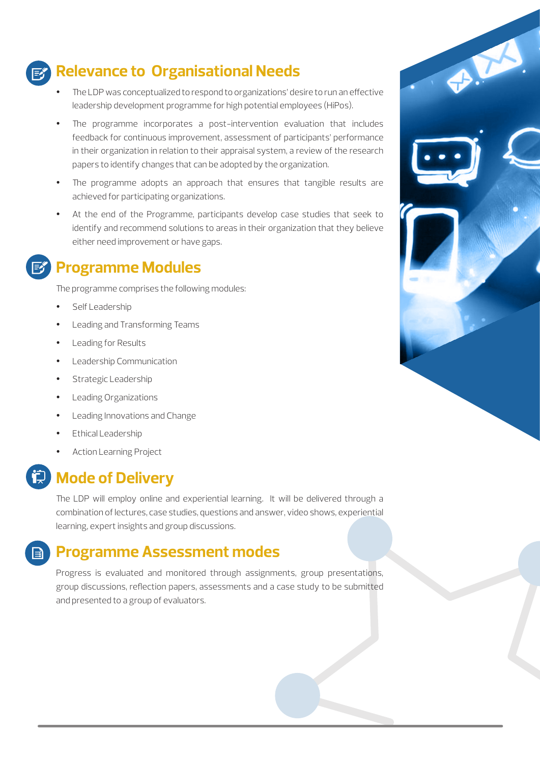### **Relevance to Organisational Needs**

- The LDP was conceptualized to respond to organizations' desire to run an effective leadership development programme for high potential employees (HiPos).
- The programme incorporates a post-intervention evaluation that includes feedback for continuous improvement, assessment of participants' performance in their organization in relation to their appraisal system, a review of the research papers to identify changes that can be adopted by the organization.
- The programme adopts an approach that ensures that tangible results are achieved for participating organizations.
- At the end of the Programme, participants develop case studies that seek to identify and recommend solutions to areas in their organization that they believe either need improvement or have gaps.

#### **Programme Modules**

The programme comprises the following modules:

- Self Leadership
- Leading and Transforming Teams
- Leading for Results
- Leadership Communication
- Strategic Leadership
- Leading Organizations
- Leading Innovations and Change
- Ethical Leadership
- Action Learning Project



#### **Mode of Delivery**

The LDP will employ online and experiential learning. It will be delivered through a combination of lectures, case studies, questions and answer, video shows, experiential learning, expert insights and group discussions.

#### **Programme Assessment modes**

Progress is evaluated and monitored through assignments, group presentations, group discussions, reflection papers, assessments and a case study to be submitted and presented to a group of evaluators.